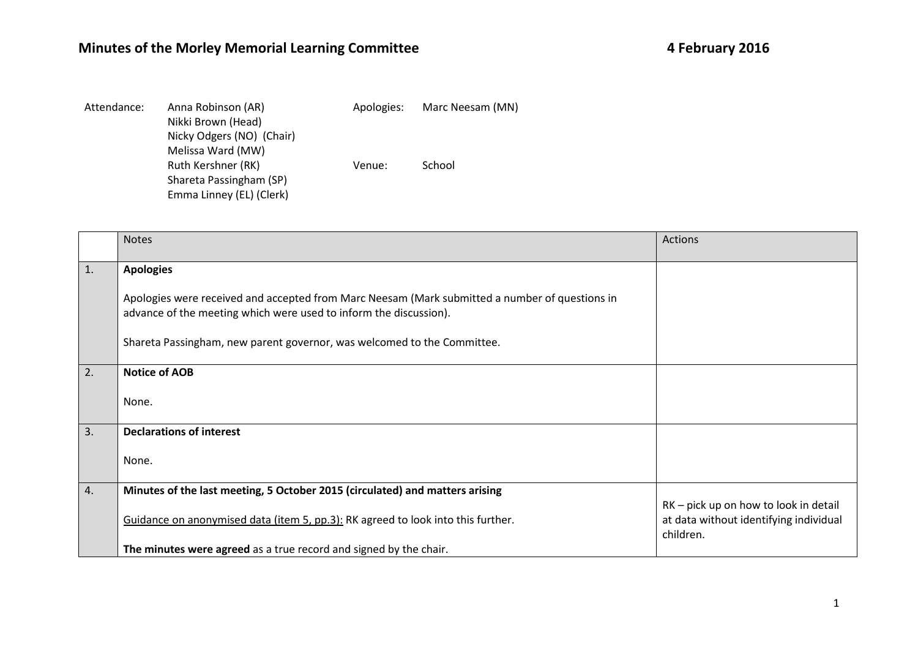## **Minutes of the Morley Memorial Learning Committee**

| Attendance: | Anna Robinson (AR)<br>Nikki Brown (Head)<br>Nicky Odgers (NO) (Chair)<br>Melissa Ward (MW) | Apologies: | Marc Neesam (MN) |
|-------------|--------------------------------------------------------------------------------------------|------------|------------------|
|             | Ruth Kershner (RK)                                                                         | Venue:     | School           |
|             | Shareta Passingham (SP)                                                                    |            |                  |
|             | Emma Linney (EL) (Clerk)                                                                   |            |                  |

|                | <b>Notes</b>                                                                                                                                                        | Actions                                                                                      |
|----------------|---------------------------------------------------------------------------------------------------------------------------------------------------------------------|----------------------------------------------------------------------------------------------|
| $\mathbf{1}$ . | <b>Apologies</b>                                                                                                                                                    |                                                                                              |
|                | Apologies were received and accepted from Marc Neesam (Mark submitted a number of questions in<br>advance of the meeting which were used to inform the discussion). |                                                                                              |
|                | Shareta Passingham, new parent governor, was welcomed to the Committee.                                                                                             |                                                                                              |
| 2.             | <b>Notice of AOB</b>                                                                                                                                                |                                                                                              |
|                | None.                                                                                                                                                               |                                                                                              |
| 3.             | <b>Declarations of interest</b>                                                                                                                                     |                                                                                              |
|                | None.                                                                                                                                                               |                                                                                              |
| 4.             | Minutes of the last meeting, 5 October 2015 (circulated) and matters arising                                                                                        |                                                                                              |
|                | Guidance on anonymised data (item 5, pp.3): RK agreed to look into this further.                                                                                    | RK – pick up on how to look in detail<br>at data without identifying individual<br>children. |
|                | The minutes were agreed as a true record and signed by the chair.                                                                                                   |                                                                                              |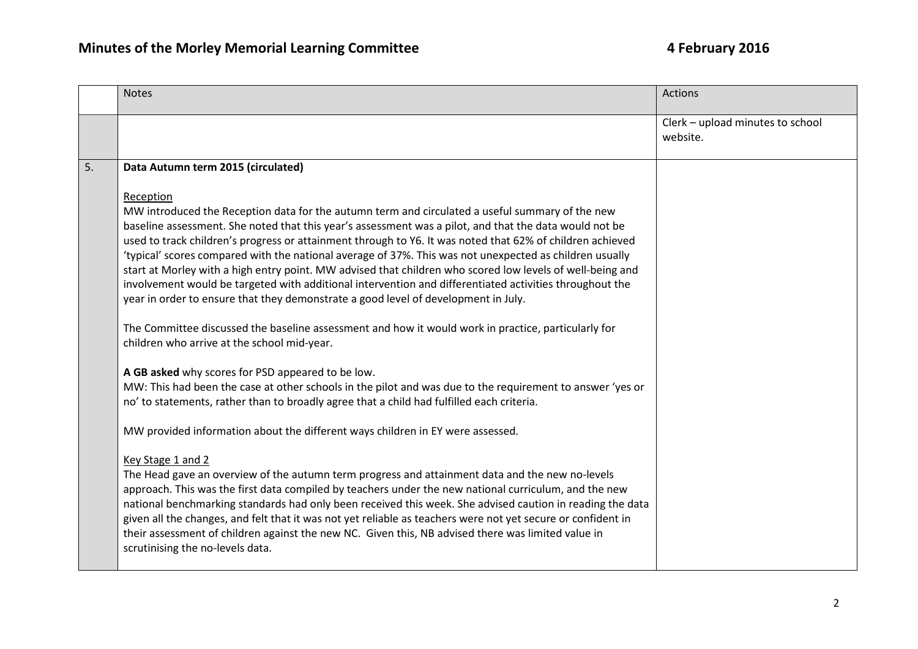|    | <b>Notes</b>                                                                                                                                                                                                                                                                                                                                                                                                                                                                                                                                                                                                                                                                                                                                                                                                                                                                                                       | <b>Actions</b>                               |
|----|--------------------------------------------------------------------------------------------------------------------------------------------------------------------------------------------------------------------------------------------------------------------------------------------------------------------------------------------------------------------------------------------------------------------------------------------------------------------------------------------------------------------------------------------------------------------------------------------------------------------------------------------------------------------------------------------------------------------------------------------------------------------------------------------------------------------------------------------------------------------------------------------------------------------|----------------------------------------------|
|    |                                                                                                                                                                                                                                                                                                                                                                                                                                                                                                                                                                                                                                                                                                                                                                                                                                                                                                                    | Clerk - upload minutes to school<br>website. |
| 5. | Data Autumn term 2015 (circulated)                                                                                                                                                                                                                                                                                                                                                                                                                                                                                                                                                                                                                                                                                                                                                                                                                                                                                 |                                              |
|    | Reception<br>MW introduced the Reception data for the autumn term and circulated a useful summary of the new<br>baseline assessment. She noted that this year's assessment was a pilot, and that the data would not be<br>used to track children's progress or attainment through to Y6. It was noted that 62% of children achieved<br>'typical' scores compared with the national average of 37%. This was not unexpected as children usually<br>start at Morley with a high entry point. MW advised that children who scored low levels of well-being and<br>involvement would be targeted with additional intervention and differentiated activities throughout the<br>year in order to ensure that they demonstrate a good level of development in July.<br>The Committee discussed the baseline assessment and how it would work in practice, particularly for<br>children who arrive at the school mid-year. |                                              |
|    | A GB asked why scores for PSD appeared to be low.                                                                                                                                                                                                                                                                                                                                                                                                                                                                                                                                                                                                                                                                                                                                                                                                                                                                  |                                              |
|    | MW: This had been the case at other schools in the pilot and was due to the requirement to answer 'yes or<br>no' to statements, rather than to broadly agree that a child had fulfilled each criteria.                                                                                                                                                                                                                                                                                                                                                                                                                                                                                                                                                                                                                                                                                                             |                                              |
|    | MW provided information about the different ways children in EY were assessed.                                                                                                                                                                                                                                                                                                                                                                                                                                                                                                                                                                                                                                                                                                                                                                                                                                     |                                              |
|    | Key Stage 1 and 2<br>The Head gave an overview of the autumn term progress and attainment data and the new no-levels<br>approach. This was the first data compiled by teachers under the new national curriculum, and the new<br>national benchmarking standards had only been received this week. She advised caution in reading the data<br>given all the changes, and felt that it was not yet reliable as teachers were not yet secure or confident in<br>their assessment of children against the new NC. Given this, NB advised there was limited value in<br>scrutinising the no-levels data.                                                                                                                                                                                                                                                                                                               |                                              |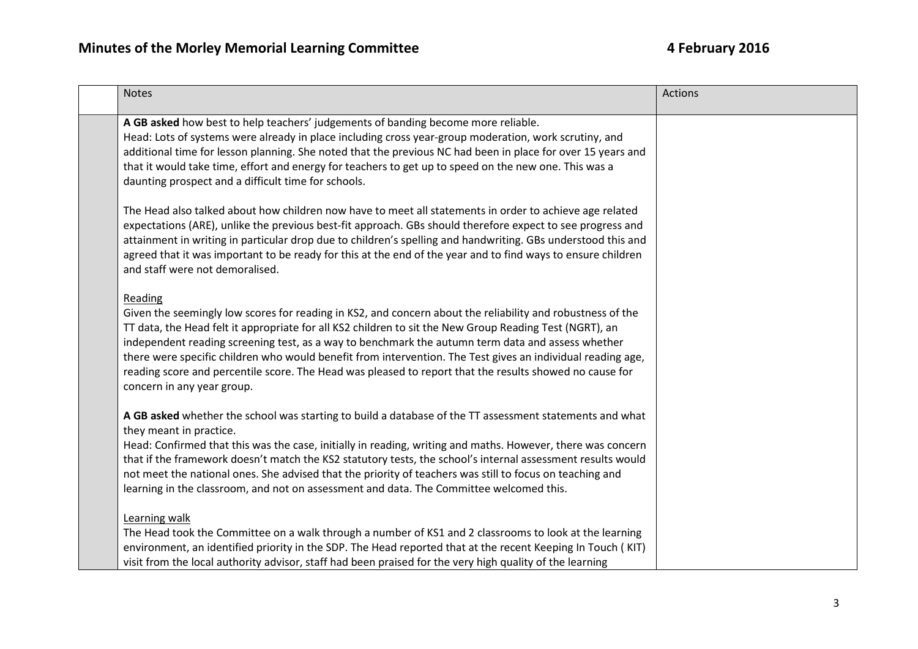## 4 February 2016

| <b>Notes</b>                                                                                                                                                                                                                                                                                                                                                                                                                                                                                                                                                                                  | Actions |
|-----------------------------------------------------------------------------------------------------------------------------------------------------------------------------------------------------------------------------------------------------------------------------------------------------------------------------------------------------------------------------------------------------------------------------------------------------------------------------------------------------------------------------------------------------------------------------------------------|---------|
| A GB asked how best to help teachers' judgements of banding become more reliable.<br>Head: Lots of systems were already in place including cross year-group moderation, work scrutiny, and<br>additional time for lesson planning. She noted that the previous NC had been in place for over 15 years and<br>that it would take time, effort and energy for teachers to get up to speed on the new one. This was a<br>daunting prospect and a difficult time for schools.                                                                                                                     |         |
| The Head also talked about how children now have to meet all statements in order to achieve age related<br>expectations (ARE), unlike the previous best-fit approach. GBs should therefore expect to see progress and<br>attainment in writing in particular drop due to children's spelling and handwriting. GBs understood this and<br>agreed that it was important to be ready for this at the end of the year and to find ways to ensure children<br>and staff were not demoralised.                                                                                                      |         |
| Reading<br>Given the seemingly low scores for reading in KS2, and concern about the reliability and robustness of the<br>TT data, the Head felt it appropriate for all KS2 children to sit the New Group Reading Test (NGRT), an<br>independent reading screening test, as a way to benchmark the autumn term data and assess whether<br>there were specific children who would benefit from intervention. The Test gives an individual reading age,<br>reading score and percentile score. The Head was pleased to report that the results showed no cause for<br>concern in any year group. |         |
| A GB asked whether the school was starting to build a database of the TT assessment statements and what<br>they meant in practice.<br>Head: Confirmed that this was the case, initially in reading, writing and maths. However, there was concern<br>that if the framework doesn't match the KS2 statutory tests, the school's internal assessment results would<br>not meet the national ones. She advised that the priority of teachers was still to focus on teaching and<br>learning in the classroom, and not on assessment and data. The Committee welcomed this.                       |         |
| Learning walk<br>The Head took the Committee on a walk through a number of KS1 and 2 classrooms to look at the learning<br>environment, an identified priority in the SDP. The Head reported that at the recent Keeping In Touch (KIT)<br>visit from the local authority advisor, staff had been praised for the very high quality of the learning                                                                                                                                                                                                                                            |         |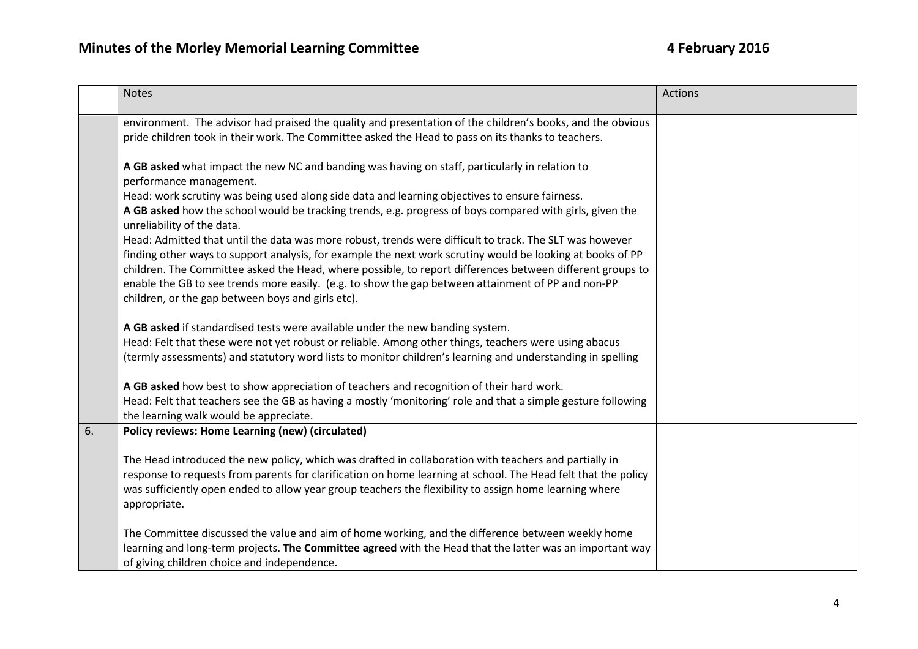|    | <b>Notes</b>                                                                                                                                                                                                                                                                                                                                                                                                                                                                                  | Actions |
|----|-----------------------------------------------------------------------------------------------------------------------------------------------------------------------------------------------------------------------------------------------------------------------------------------------------------------------------------------------------------------------------------------------------------------------------------------------------------------------------------------------|---------|
|    | environment. The advisor had praised the quality and presentation of the children's books, and the obvious<br>pride children took in their work. The Committee asked the Head to pass on its thanks to teachers.                                                                                                                                                                                                                                                                              |         |
|    | A GB asked what impact the new NC and banding was having on staff, particularly in relation to<br>performance management.<br>Head: work scrutiny was being used along side data and learning objectives to ensure fairness.                                                                                                                                                                                                                                                                   |         |
|    | A GB asked how the school would be tracking trends, e.g. progress of boys compared with girls, given the<br>unreliability of the data.                                                                                                                                                                                                                                                                                                                                                        |         |
|    | Head: Admitted that until the data was more robust, trends were difficult to track. The SLT was however<br>finding other ways to support analysis, for example the next work scrutiny would be looking at books of PP<br>children. The Committee asked the Head, where possible, to report differences between different groups to<br>enable the GB to see trends more easily. (e.g. to show the gap between attainment of PP and non-PP<br>children, or the gap between boys and girls etc). |         |
|    | A GB asked if standardised tests were available under the new banding system.<br>Head: Felt that these were not yet robust or reliable. Among other things, teachers were using abacus<br>(termly assessments) and statutory word lists to monitor children's learning and understanding in spelling                                                                                                                                                                                          |         |
|    | A GB asked how best to show appreciation of teachers and recognition of their hard work.<br>Head: Felt that teachers see the GB as having a mostly 'monitoring' role and that a simple gesture following<br>the learning walk would be appreciate.                                                                                                                                                                                                                                            |         |
| 6. | Policy reviews: Home Learning (new) (circulated)                                                                                                                                                                                                                                                                                                                                                                                                                                              |         |
|    | The Head introduced the new policy, which was drafted in collaboration with teachers and partially in<br>response to requests from parents for clarification on home learning at school. The Head felt that the policy<br>was sufficiently open ended to allow year group teachers the flexibility to assign home learning where<br>appropriate.                                                                                                                                              |         |
|    | The Committee discussed the value and aim of home working, and the difference between weekly home<br>learning and long-term projects. The Committee agreed with the Head that the latter was an important way<br>of giving children choice and independence.                                                                                                                                                                                                                                  |         |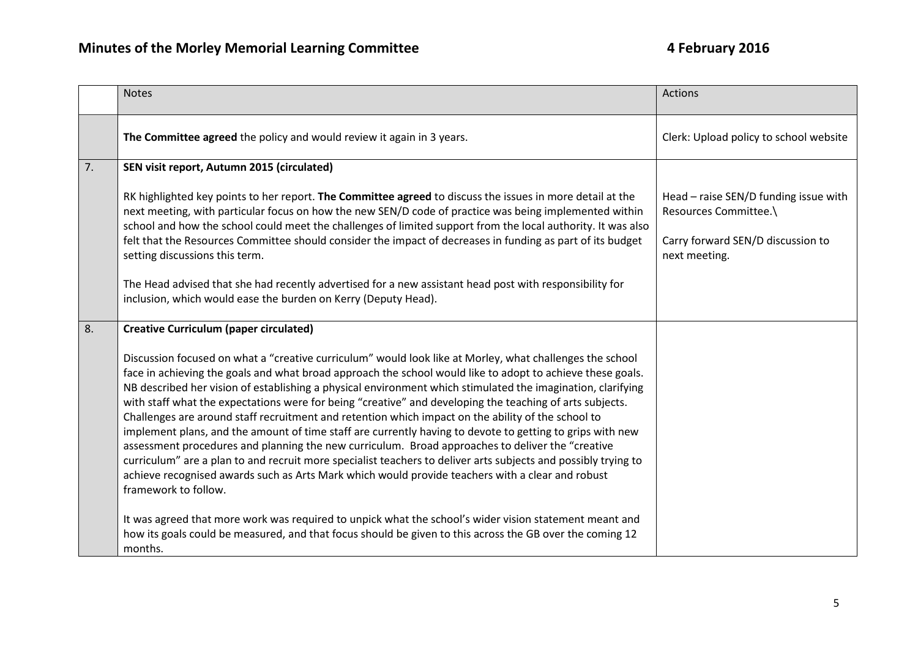|    | <b>Notes</b>                                                                                                                                                                                                                                                                                                                                                                                                                                                                                                                                                                                                                                                                                                                                                                                                                                                                                                                                                                                                           | Actions                                                        |
|----|------------------------------------------------------------------------------------------------------------------------------------------------------------------------------------------------------------------------------------------------------------------------------------------------------------------------------------------------------------------------------------------------------------------------------------------------------------------------------------------------------------------------------------------------------------------------------------------------------------------------------------------------------------------------------------------------------------------------------------------------------------------------------------------------------------------------------------------------------------------------------------------------------------------------------------------------------------------------------------------------------------------------|----------------------------------------------------------------|
|    | The Committee agreed the policy and would review it again in 3 years.                                                                                                                                                                                                                                                                                                                                                                                                                                                                                                                                                                                                                                                                                                                                                                                                                                                                                                                                                  | Clerk: Upload policy to school website                         |
| 7. | SEN visit report, Autumn 2015 (circulated)                                                                                                                                                                                                                                                                                                                                                                                                                                                                                                                                                                                                                                                                                                                                                                                                                                                                                                                                                                             |                                                                |
|    | RK highlighted key points to her report. The Committee agreed to discuss the issues in more detail at the<br>next meeting, with particular focus on how the new SEN/D code of practice was being implemented within<br>school and how the school could meet the challenges of limited support from the local authority. It was also                                                                                                                                                                                                                                                                                                                                                                                                                                                                                                                                                                                                                                                                                    | Head - raise SEN/D funding issue with<br>Resources Committee.\ |
|    | felt that the Resources Committee should consider the impact of decreases in funding as part of its budget<br>setting discussions this term.                                                                                                                                                                                                                                                                                                                                                                                                                                                                                                                                                                                                                                                                                                                                                                                                                                                                           | Carry forward SEN/D discussion to<br>next meeting.             |
|    | The Head advised that she had recently advertised for a new assistant head post with responsibility for<br>inclusion, which would ease the burden on Kerry (Deputy Head).                                                                                                                                                                                                                                                                                                                                                                                                                                                                                                                                                                                                                                                                                                                                                                                                                                              |                                                                |
| 8. | <b>Creative Curriculum (paper circulated)</b>                                                                                                                                                                                                                                                                                                                                                                                                                                                                                                                                                                                                                                                                                                                                                                                                                                                                                                                                                                          |                                                                |
|    | Discussion focused on what a "creative curriculum" would look like at Morley, what challenges the school<br>face in achieving the goals and what broad approach the school would like to adopt to achieve these goals.<br>NB described her vision of establishing a physical environment which stimulated the imagination, clarifying<br>with staff what the expectations were for being "creative" and developing the teaching of arts subjects.<br>Challenges are around staff recruitment and retention which impact on the ability of the school to<br>implement plans, and the amount of time staff are currently having to devote to getting to grips with new<br>assessment procedures and planning the new curriculum. Broad approaches to deliver the "creative<br>curriculum" are a plan to and recruit more specialist teachers to deliver arts subjects and possibly trying to<br>achieve recognised awards such as Arts Mark which would provide teachers with a clear and robust<br>framework to follow. |                                                                |
|    | It was agreed that more work was required to unpick what the school's wider vision statement meant and<br>how its goals could be measured, and that focus should be given to this across the GB over the coming 12<br>months.                                                                                                                                                                                                                                                                                                                                                                                                                                                                                                                                                                                                                                                                                                                                                                                          |                                                                |